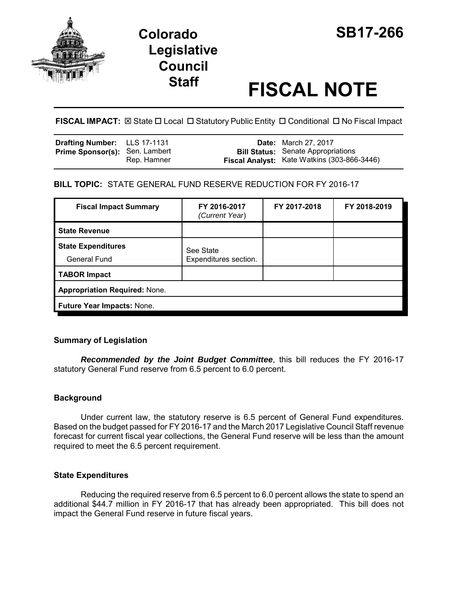

# **Colorado SB17-266 Legislative Council**

# **Staff FISCAL NOTE**

**FISCAL IMPACT:** ⊠ State □ Local □ Statutory Public Entity □ Conditional □ No Fiscal Impact

| Drafting Number: LLS 17-1131          |             | <b>Date:</b> March 27, 2017                                                                     |
|---------------------------------------|-------------|-------------------------------------------------------------------------------------------------|
| <b>Prime Sponsor(s): Sen. Lambert</b> | Rep. Hamner | <b>Bill Status:</b> Senate Appropriations<br><b>Fiscal Analyst:</b> Kate Watkins (303-866-3446) |

# **BILL TOPIC:** STATE GENERAL FUND RESERVE REDUCTION FOR FY 2016-17

| <b>Fiscal Impact Summary</b>                     | FY 2016-2017<br>(Current Year)     | FY 2017-2018 | FY 2018-2019 |  |
|--------------------------------------------------|------------------------------------|--------------|--------------|--|
| <b>State Revenue</b>                             |                                    |              |              |  |
| <b>State Expenditures</b><br><b>General Fund</b> | See State<br>Expenditures section. |              |              |  |
| <b>TABOR Impact</b>                              |                                    |              |              |  |
| <b>Appropriation Required: None.</b>             |                                    |              |              |  |
| Future Year Impacts: None.                       |                                    |              |              |  |

# **Summary of Legislation**

*Recommended by the Joint Budget Committee*, this bill reduces the FY 2016-17 statutory General Fund reserve from 6.5 percent to 6.0 percent.

# **Background**

Under current law, the statutory reserve is 6.5 percent of General Fund expenditures. Based on the budget passed for FY 2016-17 and the March 2017 Legislative Council Staff revenue forecast for current fiscal year collections, the General Fund reserve will be less than the amount required to meet the 6.5 percent requirement.

#### **State Expenditures**

Reducing the required reserve from 6.5 percent to 6.0 percent allows the state to spend an additional \$44.7 million in FY 2016-17 that has already been appropriated. This bill does not impact the General Fund reserve in future fiscal years.